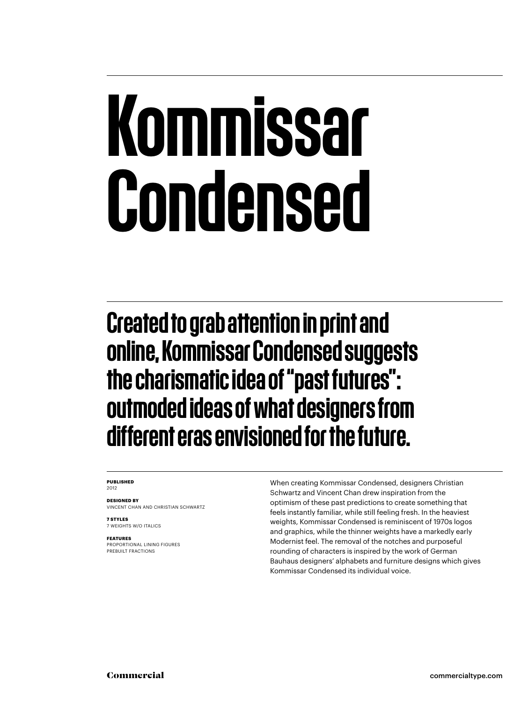## Kommissar Condensed

Created to grab attention in print and online, Kommissar Condensed suggests the charismatic idea of "past futures": outmoded ideas of what designers from different eras envisioned for the future.

#### **PUBLISHED** 2012

**DESIGNED BY** VINCENT CHAN AND CHRISTIAN SCHWARTZ

**7 STYLES** 7 WEIGHTS W/O ITALICS

**FEATURES**

PROPORTIONAL LINING FIGURES PREBUILT FRACTIONS

When creating Kommissar Condensed, designers Christian Schwartz and Vincent Chan drew inspiration from the optimism of these past predictions to create something that feels instantly familiar, while still feeling fresh. In the heaviest weights, Kommissar Condensed is reminiscent of 1970s logos and graphics, while the thinner weights have a markedly early Modernist feel. The removal of the notches and purposeful rounding of characters is inspired by the work of German Bauhaus designers' alphabets and furniture designs which gives Kommissar Condensed its individual voice.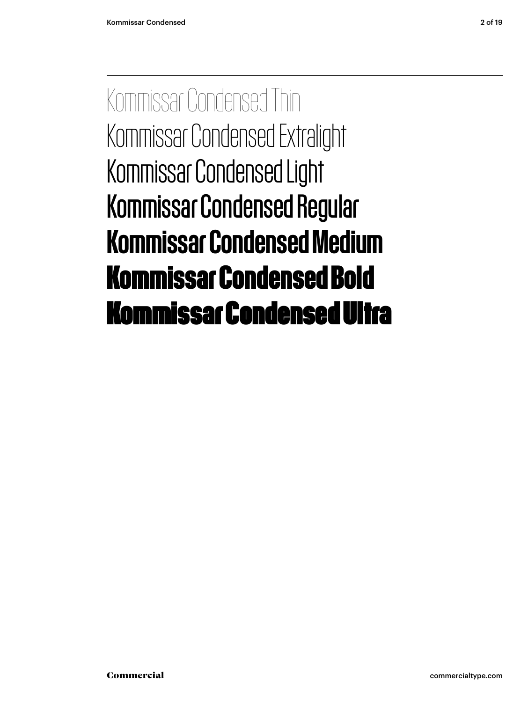Kommissar Condensed Thin Kommissar Condensed Extralight Kommissar Condensed Light Kommissar Condensed Regular Kommissar Condensed Medium **Kommissar Condensed Bold** Kommissar Condensed Ultra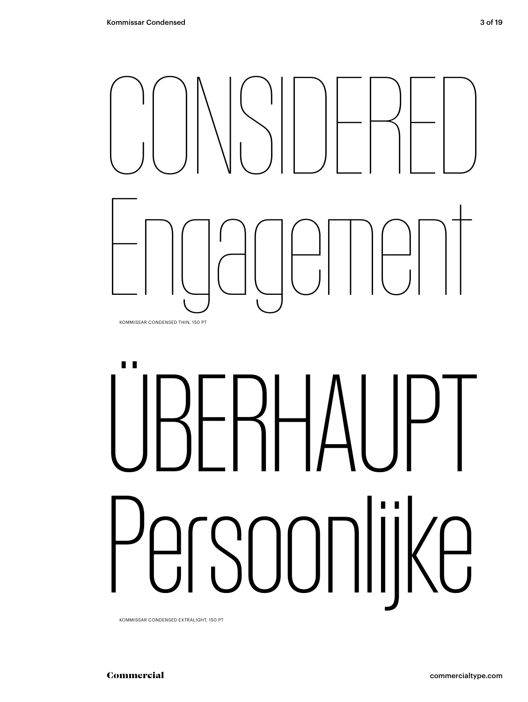

# "IRFRHAIIP" SOONlijke

KOMMISSAR CONDENSED EXTRALIGHT, 150 PT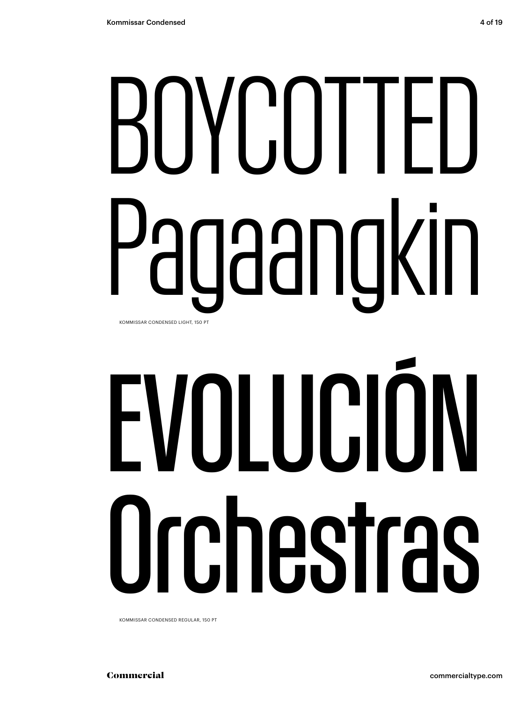# BOYCOTTED Pagaangkin KOMMISSAR CONDENSED LIGHT, 150 PT

# EVOLUCIÓN Orchestras

KOMMISSAR CONDENSED REGULAR, 150 PT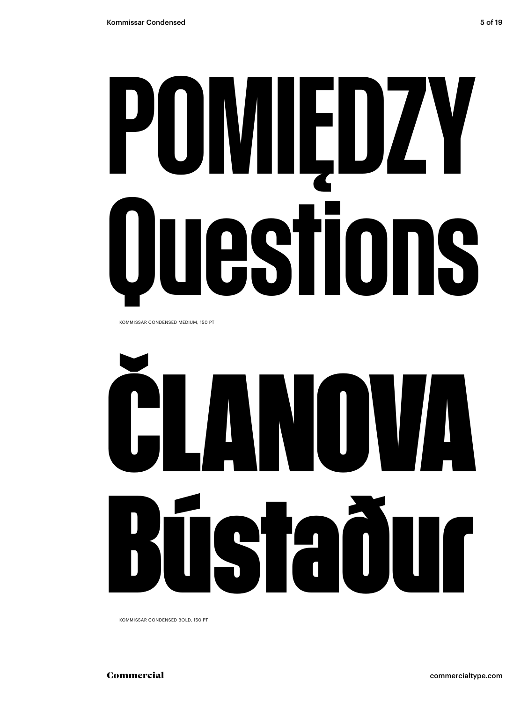## POMIEDZY **Iestions** ı

KOMMISSAR CONDENSED MEDIUM, 150 PT



KOMMISSAR CONDENSED BOLD, 150 PT

commercialtype.com

Commercial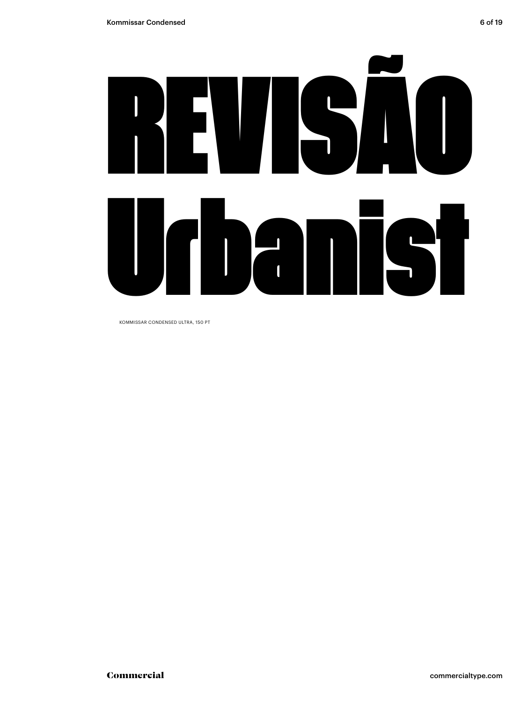

KOMMISSAR CONDENSED ULTRA, 150 PT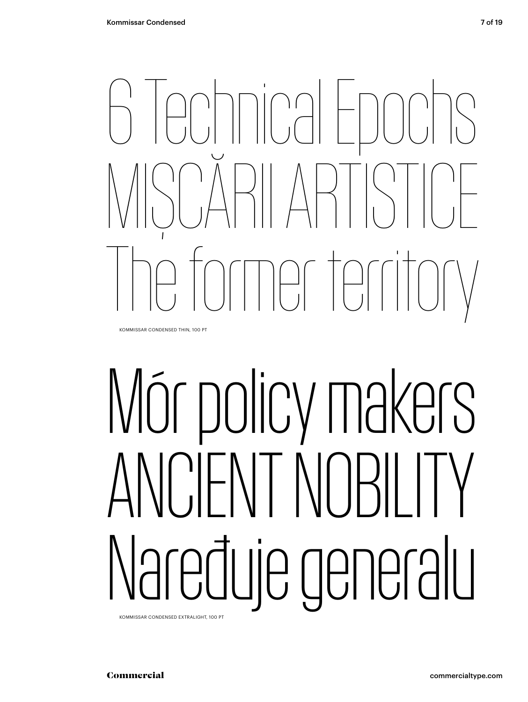

KOMMISSAR CONDENSED THIN, 100 PT

# Mór policy makers ANCIENT NOBILITY Naređuje generalu

KOMMISSAR CONDENSED EXTRALIGHT, 100 PT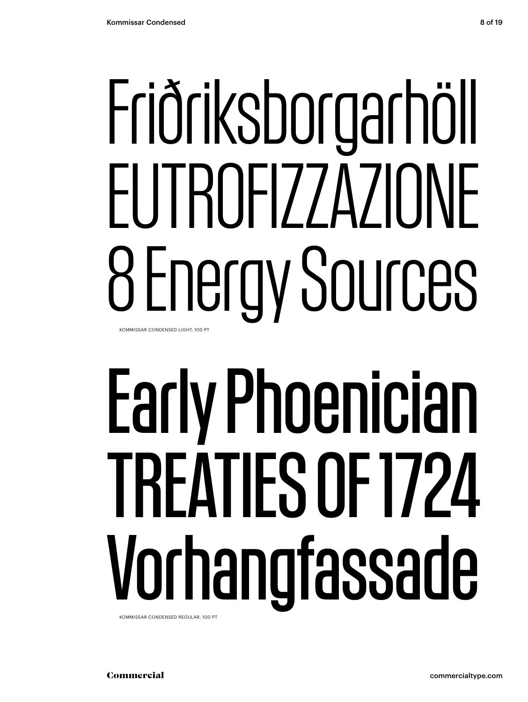## Friðriksborgarhöll EUTROFIZZAZIONE 8 Energy Sources KOMMISSAR CONDENSED LIGHT, 100 PT

# Early Phoenician TREATIES OF 1724 Vorhangfassade

KOMMISSAR CONDENSED REGULAR, 100 PT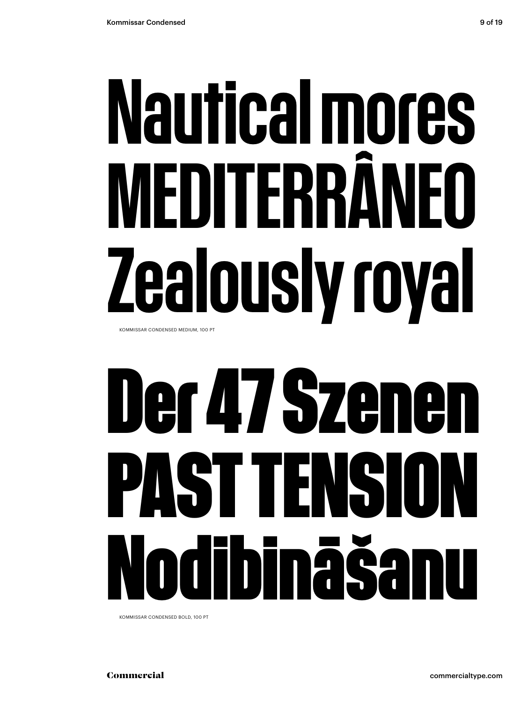## Nautical mores MEDITFRRI ealously royal KOMMISSAR CONDENSED MEDIUM, 100 PT

### er 47 Szenen PASTT ENSI nāš N

KOMMISSAR CONDENSED BOLD, 100 PT

commercialtype.com

Commercial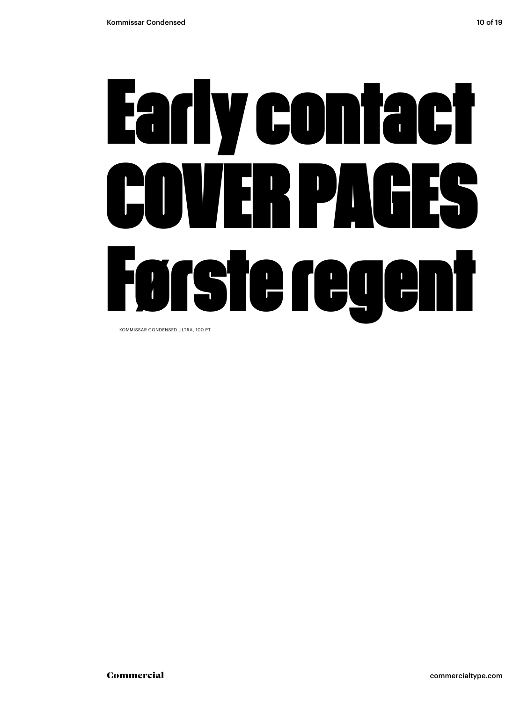# Early contact COVER PAGES Første regent

KOMMISSAR CONDENSED ULTRA, 100 PT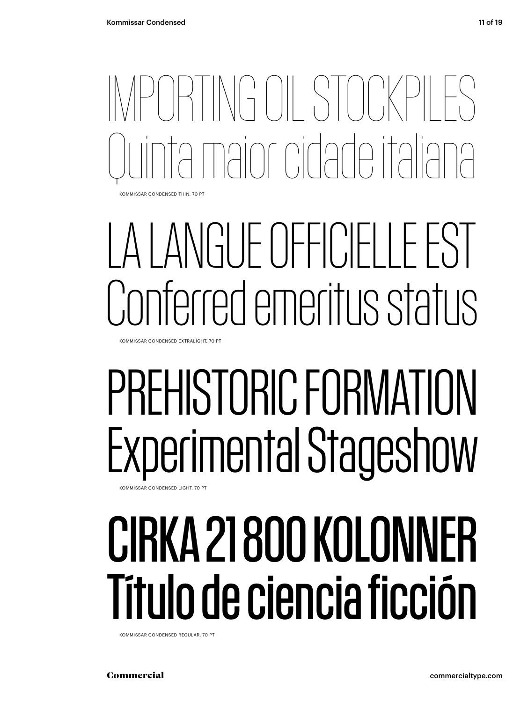IMPORTING OIL STOCKPILES pint cidade italic KOMMISSAR CONDENSED THIN, 70 PT

## LA LANGUE OFFICIELLE EST Conferred emeritus status

KOMMISSAR CONDENSED EXTRALIGHT, 70 PT

### PREHISTORIC FORMATION Experimental Stageshow KOMMISSAR CONDENSED LIGHT, 70 PT

CIRKA 21 800 KOLONNER Título de ciencia ficción

KOMMISSAR CONDENSED REGULAR, 70 PT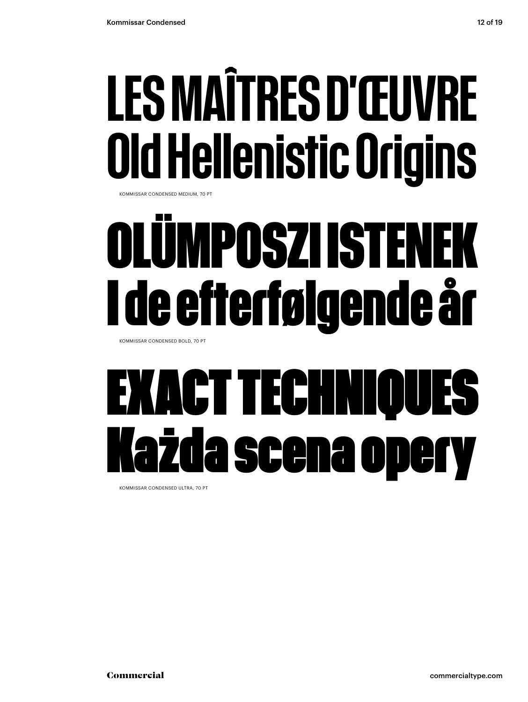## **LES MAÎTRES D'ŒUVRE Ild Hellenistic Origins**

KOMMISSAR CONDENSED MEDIUM, 70 PT

## **IMPOSZI ISTEN** <u>l de efterfølgende år</u>

KOMMISSAR CONDENSED BOLD, 70 PT

### **KACT TECHN** ida scena DDA

KOMMISSAR CONDENSED ULTRA 70 PT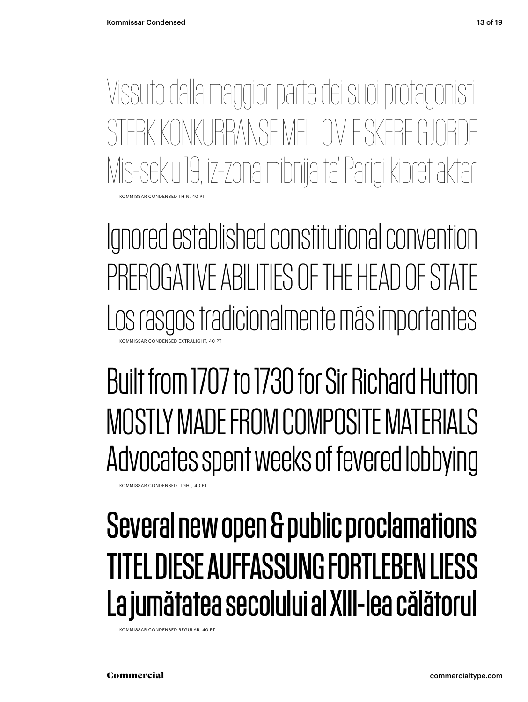OMMISSAR CONDENSED THIN, 40 PT Vissuto dalla maggior parte dei suoi protagonisti STERK KONKLIRRANSE MELLOM FISKERE Mis-seklu 19, iż-żona mibnija ta' Pariġi kibret aktar

Ignored established constitutional convention PREROGATIVE ABILITIES OF THE HEAD OF STATE Los rasgos tradicionalmente más importantes KOMMISSAR CONDENSED EXTRALIGHT, 40 PT

Built from 1707 to 1730 for Sir Richard Hutton MOSTLY MADE FROM COMPOSITE MATERIALS Advocates spent weeks of fevered lobbying

KOMMISSAR CONDENSED LIGHT, 40 PT

### Several new open & public proclamations TITEL DIESE AUFFASSUNG FORTLEBEN LIESS La jumătatea secolului al XIII-lea călătorul

KOMMISSAR CONDENSED REGULAR, 40 PT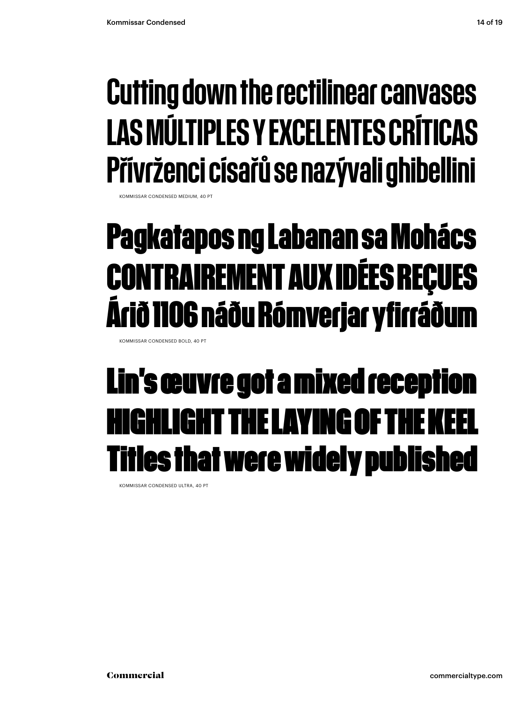### Cutting down the rectilinear canvases LAS MÚLTIPLES Y EXCELENTES CRÍTICAS Přívrženci císařů se nazývali ghibellini

KOMMISSAR CONDENSED MEDIUM

### **Pagkatapos ng Labanan sa Mohács CONTRAIREMENT AUX IDÉES REÇUES Árið 1106 náðu Rómverjar yfirráðum**

KOMMISSAR CONDENSED BOLD, 40 PT

### Lin's œuvre got a mixed reception **HIGHLIGHT THE LAYING OF T** les that were widely published

KOMMISSAR CONDENSED ULTRA, 40 PT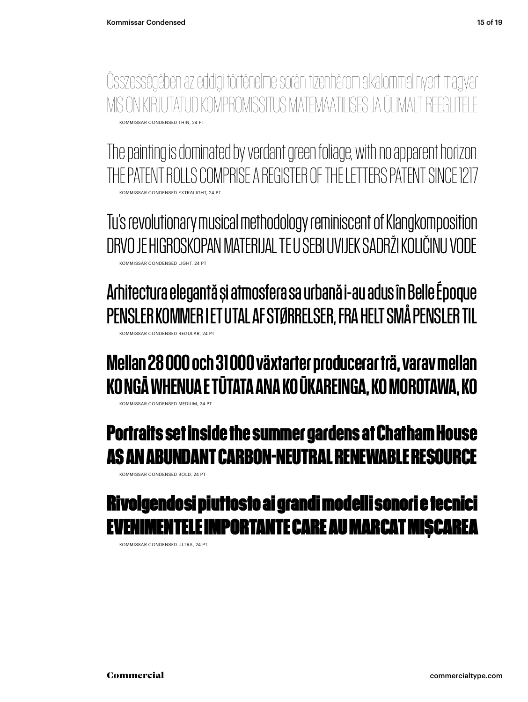KOMMISSAR CONDENSED THIN, 24 PT Összességében az eddigi történelme során tizenhárom alkalommal nyert magyar MIS ON KIRJUTATUD KOMPROMISSITUS MATEMAATILISES JA ÜLIMALT REEGLI

KOMMISSAR CONDENSED EXTRALIGHT, 24 PT The painting is dominated by verdant green foliage, with no apparent horizon THE PATENT ROLLS COMPRISE A REGISTER OF THE LETTERS PATENT SINCE 1217

KOMMISSAR CONDENSED LIGHT, 24 PT Tu's revolutionary musical methodology reminiscent of Klangkomposition DRVO JE HIGROSKOPAN MATERIJAL TE U SEBI UVIJEK SADRŽI KOLIČINU VODE

KOMMISSAR CONDENSED REGULAR, 24 PT Arhitectura elegantă și atmosfera sa urbană i-au adus în Belle Époque PENSLER KOMMER I ET UTAL AF STØRRELSER, FRA HELT SMÅ PENSLER TIL

#### Mellan 28 000 och 31 000 växtarter producerar trä, varav mellan KO NGĀ WHENUA E TŪTATA ANA KO ŪKAREINGA, KO MOROTAWA, KO

KOMMISSAR CONDENSED MEDIUM, 24 PT

#### **Portraits set inside the summer gardens at Chatham House AS AN ABUNDANT CARBON-NEUTRAL RENEWABLE RESOURCE**

KOMMISSAR CONDENSED BOLD, 24 PT

#### Rivolgendosi piuttosto ai grandi modelli sonori e tecnici NTELE IMPORTANTE CARE AU MARCAT MISCAREA

KOMMISSAR CONDENSED ULTRA, 24 PT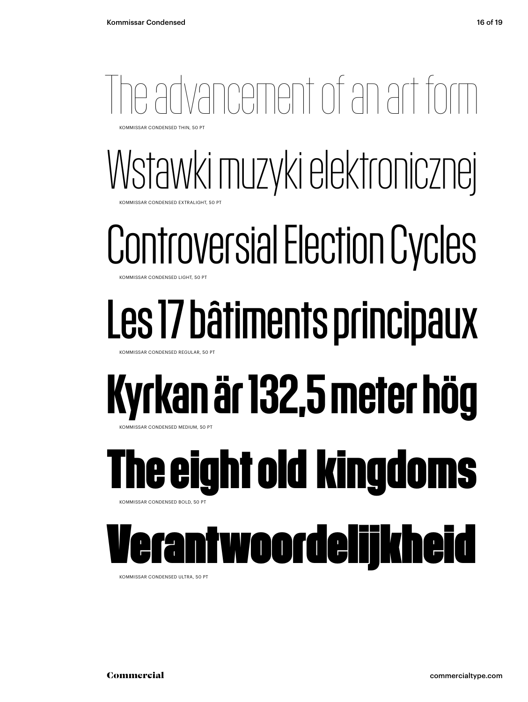## Tvancement of an art for

KOMMISSAR CONDENSED THIN, 50 PT

#### Wstawki muzyki elektronicznej **COMMISSAR CONDENSED EXTRALIGHT, 50 PT**

## Controversial Election Cycles

KOMMISSAR CONDENSED LIGHT, 50

## Les 17 bâtiments principaux

KOMMISSAR CONDENSED REGULAR, 50 PT

## Kyrkan är 132,5 meter hög

**MMISSAR CONDENSED MEDIUM, 50 PT** 

#### **The eight old kingdoms** KOMMISSAR CONDENSED BOLD, 50 PT

### twoordelijkheid

KOMMISSAR CONDENSED ULTRA, 50 PT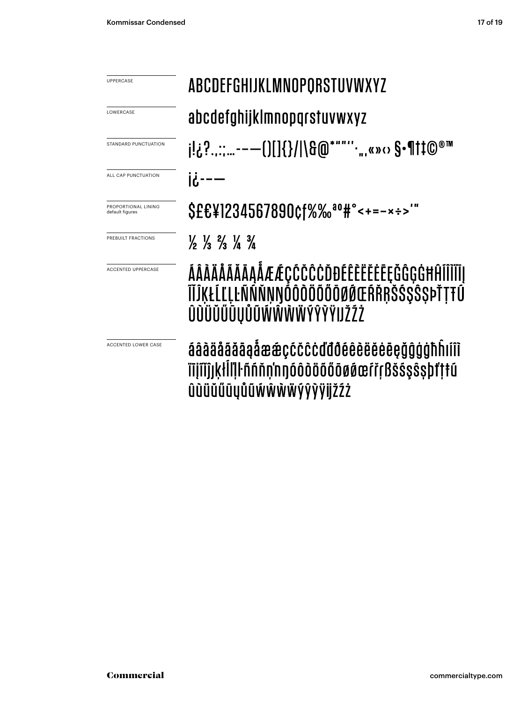| <b>UPPERCASE</b>                       | <b>ABCDEFGHIJKLMNOPORSTUVWXYZ</b>                                                                               |  |  |  |
|----------------------------------------|-----------------------------------------------------------------------------------------------------------------|--|--|--|
| LOWERCASE                              | abcdefghijklmnopgrstuvwxyz                                                                                      |  |  |  |
| STANDARD PUNCTUATION                   | j!¿?::-—()[]{}/ \&@*""''∙",«»⇔ §•¶†‡©®™                                                                         |  |  |  |
| ALL CAP PUNCTUATION                    | $1$                                                                                                             |  |  |  |
| PROPORTIONAL LINING<br>default figures | \$££¥1234567890¢f%‰ <sup>ao</sup> #°<+=-×÷>'"                                                                   |  |  |  |
| PREBUILT FRACTIONS                     | $\frac{1}{2}$ $\frac{1}{3}$ $\frac{2}{3}$ $\frac{1}{4}$ $\frac{3}{4}$                                           |  |  |  |
| <b>ACCENTED UPPERCASE</b>              | ÁÂÀÄÅÃĂĀĄÅÆÆÇĆČĈĊĎĐÉÊÈËĔĖĒĘĞĜĢĠĦĤĨÎÌĬĪĮ<br>ĨĬĴĶŁĹĽĻĿÑŃŇŅŊŎÔŎŎŎŎŎØŔŒŔŘŖŠŚŞŜŞÞŤŢŦÚ<br>ÛŨÜŬŰŪŲŮŨŴŴŴŴÝŶŸIJŽŹŻ       |  |  |  |
| <b>ACCENTED LOWER CASE</b>             | áâàäåãăāaåææçćčĉċďđðéêèëëėēçğĝģġħĥıíîì<br>ïījĩǐĵjķłĺľļŀñńňn'nŋóôòöőőōøøœŕřŗßšśşŝṣþťṭŧú<br>ûùüŭűūyůũŵŵŵŸŷŷÿijžźż |  |  |  |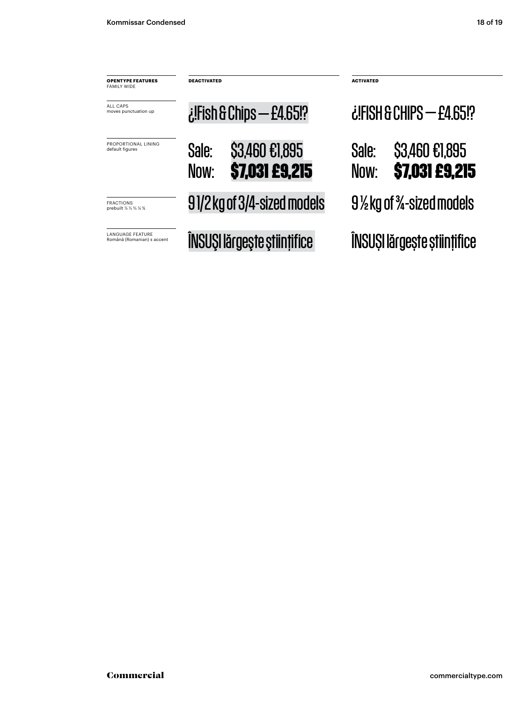| <b>OPENTYPE FEATURES</b><br><b>FAMILY WIDE</b>        | <b>DEACTIVATED</b>          |                                         | <b>ACTIVATED</b><br><b>¿FISH &amp; CHIPS - £4.65!?</b> |                                  |  |
|-------------------------------------------------------|-----------------------------|-----------------------------------------|--------------------------------------------------------|----------------------------------|--|
| ALL CAPS<br>moves punctuation up                      |                             | $i$ !Fish & Chips — £4.65!?             |                                                        |                                  |  |
| PROPORTIONAL LINING<br>default figures                | Sale:<br>Now:               | \$3,460 €1,895<br><b>\$7,031 £9,215</b> | Sale:<br>Now:                                          | \$3,460 €1,895<br>\$7,031 £9,215 |  |
| <b>FRACTIONS</b><br>prebuilt 1/2 1/3 1/4 1/4          | 91/2 kg of 3/4-sized models |                                         | 9½ kg of ¾-sized models                                |                                  |  |
| <b>LANGUAGE FEATURE</b><br>Română (Romanian) s accent | ÎNSUȘI lărgește științifice |                                         | ÎNSUȘI lărgește științifice                            |                                  |  |